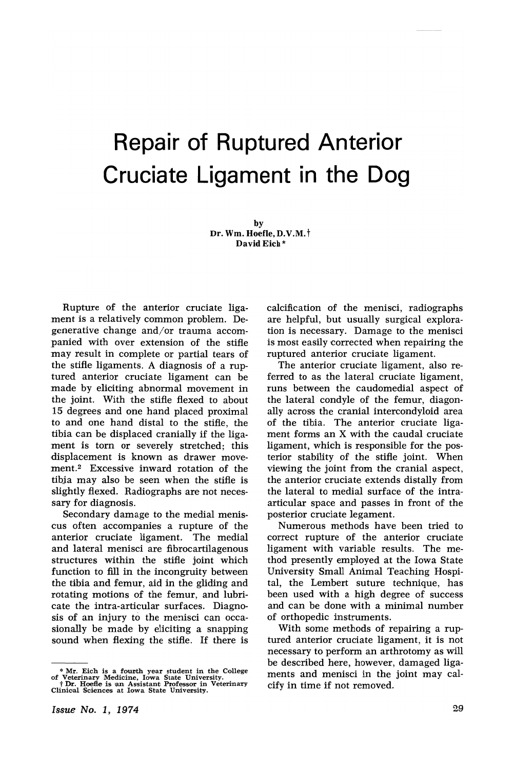# Repair of Ruptured Anterior Cruciate Ligament in the Dog

by Dr. Wm. Hoefle, D.V.M.t David Eich \*

Rupture of the anterior cruciate ligament is a relatively common problem. Degenerative change and/or trauma accompanied with over extension of the stifle may result in complete or partial tears of the stifle ligaments. A diagnosis of a ruptured anterior cruciate ligament can be made by eliciting, abnormal movement in the joint. With the stifle flexed to about 15 degrees and one hand placed proximal to and one hand distal to the stifle, the tibia can be displaced cranially if the ligament is torn or severely stretched; this displacement is known as drawer movement.<sup>2</sup> Excessive inward rotation of the tibia may also be seen when the stifle is slightly flexed. Radiographs are not necessary for diagnosis.

Secondary damage to the medial meniscus often accompanies a rupture of the anterior cruciate ligament. The medial and lateral menisci are fibrocartilagenous structures within the stifle joint which function to fill in the incongruity between the tibia and femur, aid in the gliding and rotating motions of the femur, and lubricate the intra-articular surfaces. Diagnosis of an injury to the menisci can occasionally be made by eliciting a snapping sound when flexing the stifle. If there is calcification of the menisci, radiographs are helpful, but usually surgical exploration is necessary. Damage to the menisci is most easily corrected when repairing the ruptured anterior cruciate ligament.

The anterior cruciate ligament, also referred to as the lateral cruciate ligament, runs between the caudomedial aspect of the lateral condyle of the femur, diagonally across the cranial intercondyloid area of the tibia. The anterior cruciate ligament forms an X with the caudal cruciate ligament, which is responsible for the posterior stability of the stifle joint. When viewing the joint from the cranial aspect, the anterior cruciate extends distally from the lateral to medial surface of the intraarticular space and passes in front of the posterior cruciate legament.

Numerous methods have been tried to correct rupture of the anterior cruciate ligament with variable results. The method presently employed at the Iowa State University Small Animal Teaching Hospital, the Lembert suture technique, has been used with a high degree of success and can be done with a minimal number of orthopedic instruments.

With some methods of repairing a ruptured anterior cruciate ligament, it is not necessary to perform an arthrotomy as will be described here, however, damaged ligaments and menisci in the joint may calcify in time if not removed.

<sup>\*</sup> Mr. Eich is <sup>a</sup> foul'ith year student in the College of Veterina,ry M,edicine, Iowa State University. <sup>t</sup> Dr. Hoefle is ian As'sistant Profeslsor in Veterinary Clinicial Sciences at Iowa State University.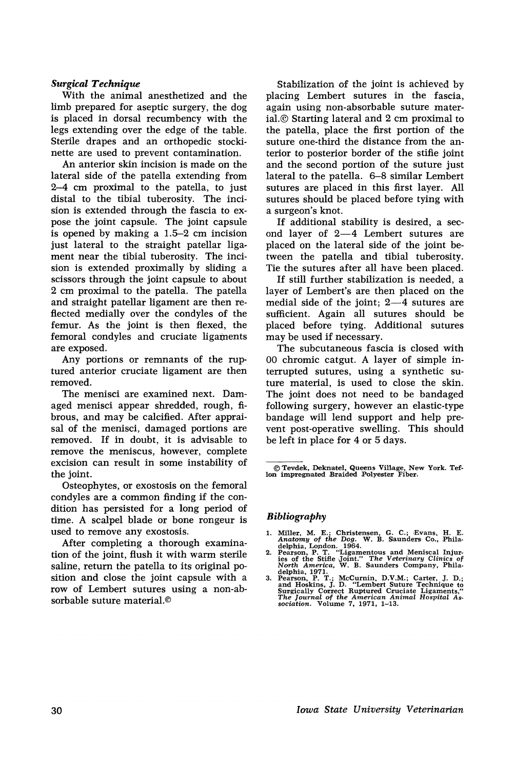### *Surgical Technique*

With the animal anesthetized and the limb prepared for aseptic surgery, the dog is placed in dorsal recumbency with the legs extending over the edge of the table. Sterile drapes and an orthopedic stockinette are used to prevent contamination.

An anterior skin incision is made on the lateral side of the patella extending from 2-4 em proximal to the patella, to just distal to the tibial tuberosity. The incision is extended through the fascia to expose the joint capsule. The joint capsule is opened by making a 1.5-2 em incision just lateral to the straight patellar ligament near the tibial tuberosity. The incision is extended proximally by sliding a scissors through the joint capsule to about 2 em proximal to the patella. The patella and straight patellar ligament are then reflected medially over the condyles of the femur. As the joint is then flexed, the femoral condyles and cruciate ligaments ate exposed.

Any portions or remnants of the ruptured anterior cruciate ligament are then removed.

The menisci are examined next. Damaged menisci appear shredded, rough, fibrous, and may be calcified. After appraisal of the menisci, damaged portions are removed. If in doubt, it is advisable to remove the meniscus, however, complete excision can result in some instability of the joint.

Osteophytes, or exostosis on the femoral condyles are a common finding if the condition has persisted for a long period of time. A scalpel blade or bone rongeur is used to remove any exostosis.

After completing a thorough examination of the joint, flush it with warm sterile saline, return the patella to its original position and close the joint capsule with a row of Lembert sutures using a non-absorbable suture material.©

Stabilization of the joint is achieved by placing Lembert sutures in the fascia, again using non-absorbable suture material.© Starting lateral and 2 em proximal to the patella, place the first portion of the suture one-third the distance from, the anterior to posterior border of the stifie joint and the second portion of the suture just lateral to the patella. 6–8 similar Lembert sutures are placed in this first layer. All sutures should be placed before tying with a surgeon's knot.

If additional stability is desired, a second layer of  $2-4$  Lembert sutures are placed on the lateral side of the joint between the patella and tibial tuberosity. Tie the sutures after all have been placed.

If still further stabilization is needed, a layer of Lembert's are then placed on the medial side of the joint;  $2-4$  sutures are sufficient. Again all sutures should be placed before tying. Additional sutures may be used if necessary.

The subcutaneous fascia is closed with 00 chromic catgut. A layer of simple interrupted sutures, using a synthetic suture material, is used to close the skin. The joint does not need to be bandaged following surgery, however an elastic-type bandage will lend support and help prevent post-operative swelling. This should be left in place for 4 or 5 days.

© Tevdek, Dekn'aJtel, Queens, VilLage, New York. Tef-lon impregnated ,Braided Polyester F,iber.

## *Bibliography*

- 
- 1. Miller, M. E.; Christensen, G. C.; Evans, H. E.<br>
Anatomy of the Dog. W. B. Saunders Co., Phila-<br>
delphia, London. 1964.<br>
2. Pearson, P. T. "Ligamentous and Meniscal Injur-<br>
is of the Stifle Joint." The Veterinary Clinic
- 3. Pearson, P. T.; McCurnin, D.V.M.; Carter, J. D.; and Hoskins, J. D. "Lembert Suture Technique to Surgically Correct Ruptured Cruciate Ligaments," The Journal of the American Animal Hospital Association. Volume 7, 1971,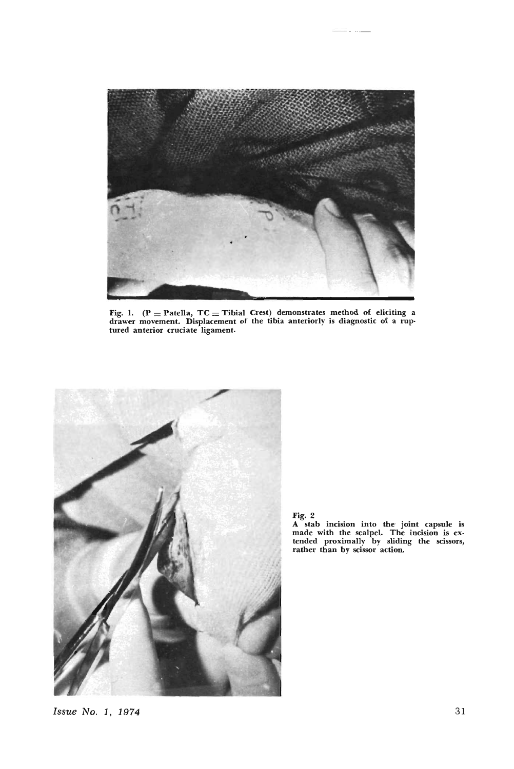

Fig. 1.  $(P =$  Patella,  $TC =$  Tibial Crest) demonstrates method of eliciting a drawer movement. Displacement of the tibia anteriorly is diagnostic of a ruptured anterior cruciate ligament.



Fig. 2 A stab inCisIOn into the- joint capsule is made with the scalpel. The incision is ex· tended proximally by sliding the scissors, rather than by scissor action.

Issue No.1, 1974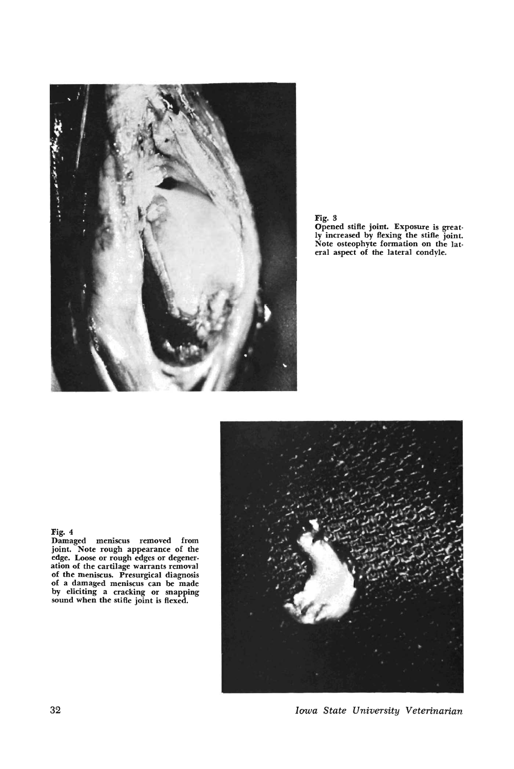





32 *Iawa State University Veterinarian*

### Fig. 4

Damaged meniscus removed from joint. Note rough appearance of the edge. Loose or rough edges or degeneration of the cartilage warrants removal of the meniscus. Presurgical diagnosis of a damaged meniscus can be made by eliciting a cracking or snapping sound when the stifle joint is flexed.